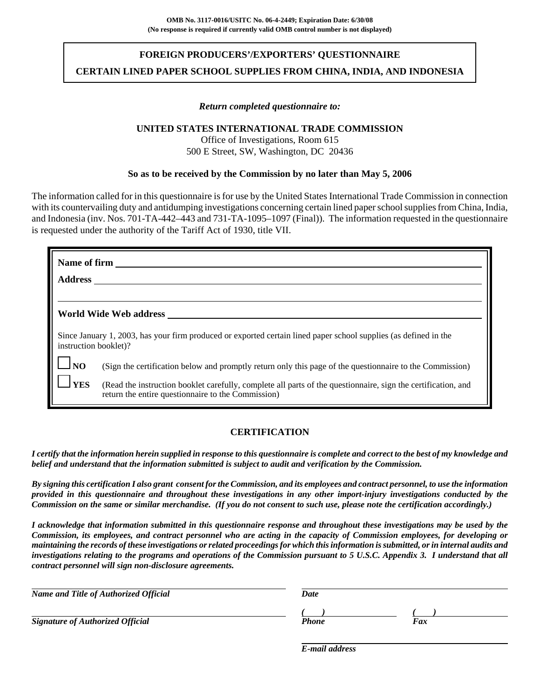# **FOREIGN PRODUCERS'/EXPORTERS' QUESTIONNAIRE CERTAIN LINED PAPER SCHOOL SUPPLIES FROM CHINA, INDIA, AND INDONESIA**

## *Return completed questionnaire to:*

## **UNITED STATES INTERNATIONAL TRADE COMMISSION**

Office of Investigations, Room 615 500 E Street, SW, Washington, DC 20436

### **So as to be received by the Commission by no later than May 5, 2006**

The information called for in this questionnaire is for use by the United States International Trade Commission in connection with its countervailing duty and antidumping investigations concerning certain lined paper school supplies from China, India, and Indonesia (inv. Nos. 701-TA-442–443 and 731-TA-1095–1097 (Final)). The information requested in the questionnaire is requested under the authority of the Tariff Act of 1930, title VII.

| Name of firm                                                                                                                              |                                                                                                                                                                     |  |  |
|-------------------------------------------------------------------------------------------------------------------------------------------|---------------------------------------------------------------------------------------------------------------------------------------------------------------------|--|--|
| <b>Address</b>                                                                                                                            |                                                                                                                                                                     |  |  |
|                                                                                                                                           |                                                                                                                                                                     |  |  |
| World Wide Web address                                                                                                                    |                                                                                                                                                                     |  |  |
| Since January 1, 2003, has your firm produced or exported certain lined paper school supplies (as defined in the<br>instruction booklet)? |                                                                                                                                                                     |  |  |
| $\Box$ NO                                                                                                                                 | (Sign the certification below and promptly return only this page of the questionnaire to the Commission)                                                            |  |  |
| <b>YES</b>                                                                                                                                | (Read the instruction booklet carefully, complete all parts of the questionnaire, sign the certification, and<br>return the entire questionnaire to the Commission) |  |  |

## **CERTIFICATION**

*I certify that the information herein supplied in response to this questionnaire is complete and correct to the best of my knowledge and belief and understand that the information submitted is subject to audit and verification by the Commission.*

*By signing this certification I also grant consent for the Commission, and its employees and contract personnel, to use the information provided in this questionnaire and throughout these investigations in any other import-injury investigations conducted by the Commission on the same or similar merchandise. (If you do not consent to such use, please note the certification accordingly.)*

*I acknowledge that information submitted in this questionnaire response and throughout these investigations may be used by the Commission, its employees, and contract personnel who are acting in the capacity of Commission employees, for developing or maintaining the records of these investigations or related proceedings for which this information is submitted, or in internal audits and investigations relating to the programs and operations of the Commission pursuant to 5 U.S.C. Appendix 3. I understand that all contract personnel will sign non-disclosure agreements.*

| Name and Title of Authorized Official   | Date  |     |
|-----------------------------------------|-------|-----|
|                                         |       |     |
| <b>Signature of Authorized Official</b> | Phone | Fax |

*E-mail address*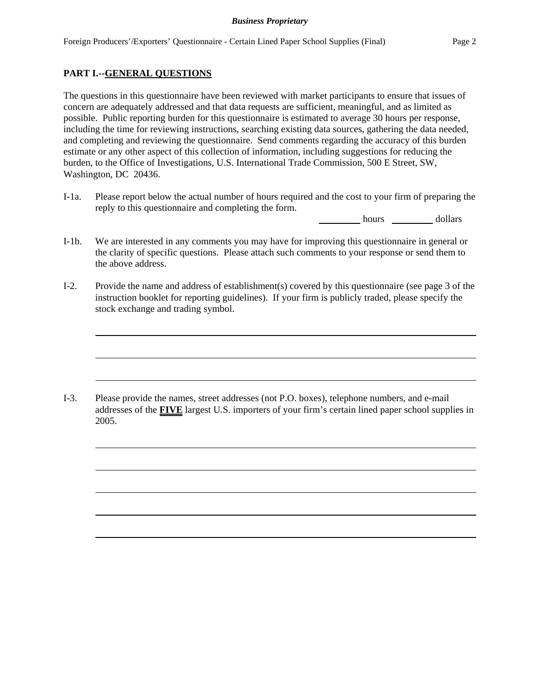## **PART I.--GENERAL QUESTIONS**

The questions in this questionnaire have been reviewed with market participants to ensure that issues of concern are adequately addressed and that data requests are sufficient, meaningful, and as limited as possible. Public reporting burden for this questionnaire is estimated to average 30 hours per response, including the time for reviewing instructions, searching existing data sources, gathering the data needed, and completing and reviewing the questionnaire. Send comments regarding the accuracy of this burden estimate or any other aspect of this collection of information, including suggestions for reducing the burden, to the Office of Investigations, U.S. International Trade Commission, 500 E Street, SW, Washington, DC 20436.

I-1a. Please report below the actual number of hours required and the cost to your firm of preparing the reply to this questionnaire and completing the form.

hours dollars

- I-1b. We are interested in any comments you may have for improving this questionnaire in general or the clarity of specific questions. Please attach such comments to your response or send them to the above address.
- I-2. Provide the name and address of establishment(s) covered by this questionnaire (see page 3 of the instruction booklet for reporting guidelines). If your firm is publicly traded, please specify the stock exchange and trading symbol.

I-3. Please provide the names, street addresses (not P.O. boxes), telephone numbers, and e-mail addresses of the **FIVE** largest U.S. importers of your firm's certain lined paper school supplies in 2005.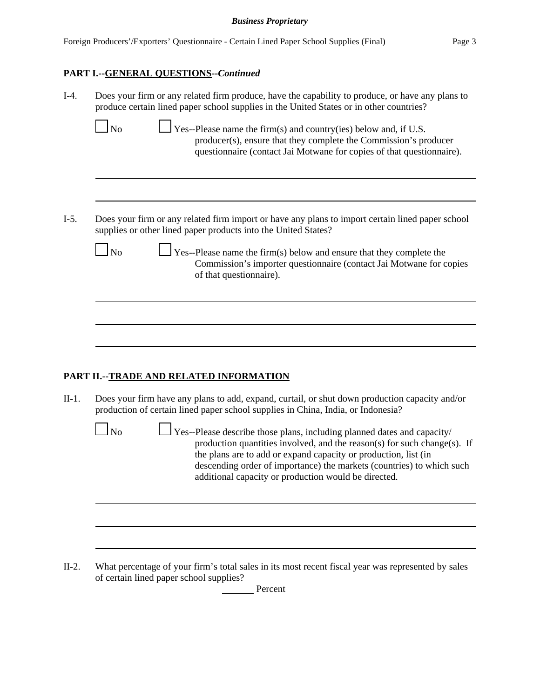# **PART I.--GENERAL QUESTIONS--***Continued*

| $I-4.$  | Does your firm or any related firm produce, have the capability to produce, or have any plans to<br>produce certain lined paper school supplies in the United States or in other countries?<br><b>No</b><br>$\Box$ Yes--Please name the firm(s) and country(ies) below and, if U.S.<br>producer(s), ensure that they complete the Commission's producer<br>questionnaire (contact Jai Motwane for copies of that questionnaire). |
|---------|----------------------------------------------------------------------------------------------------------------------------------------------------------------------------------------------------------------------------------------------------------------------------------------------------------------------------------------------------------------------------------------------------------------------------------|
| $I-5.$  | Does your firm or any related firm import or have any plans to import certain lined paper school<br>supplies or other lined paper products into the United States?                                                                                                                                                                                                                                                               |
|         | $\Box$ Yes--Please name the firm(s) below and ensure that they complete the<br>N <sub>o</sub><br>Commission's importer questionnaire (contact Jai Motwane for copies<br>of that questionnaire).                                                                                                                                                                                                                                  |
|         |                                                                                                                                                                                                                                                                                                                                                                                                                                  |
|         | PART II.--TRADE AND RELATED INFORMATION                                                                                                                                                                                                                                                                                                                                                                                          |
| $II-1.$ | Does your firm have any plans to add, expand, curtail, or shut down production capacity and/or<br>production of certain lined paper school supplies in China, India, or Indonesia?                                                                                                                                                                                                                                               |
|         | <b>No</b><br>$\Box$ Yes--Please describe those plans, including planned dates and capacity/<br>production quantities involved, and the reason(s) for such change(s). If<br>the plans are to add or expand capacity or production, list (in<br>descending order of importance) the markets (countries) to which such<br>additional capacity or production would be directed.                                                      |
|         |                                                                                                                                                                                                                                                                                                                                                                                                                                  |
| $II-2.$ | What percentage of your firm's total sales in its most recent fiscal year was represented by sales<br>of certain lined paper school supplies?<br>Percent                                                                                                                                                                                                                                                                         |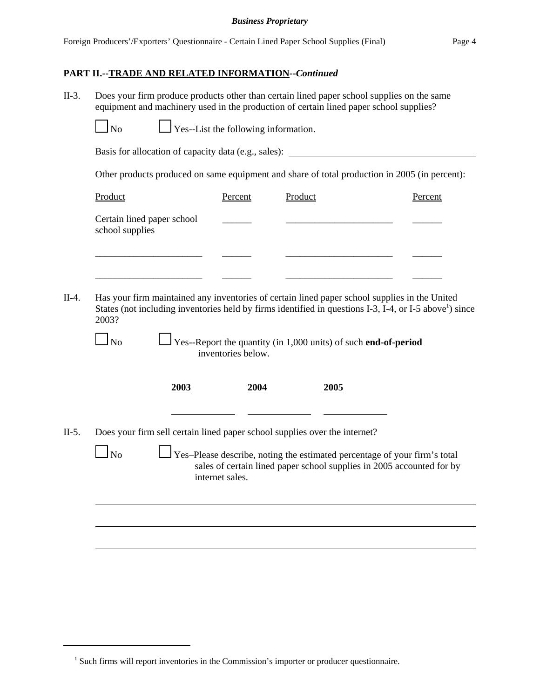#### *Business Proprietary*

## **PART II.--TRADE AND RELATED INFORMATION--***Continued*

II-3. Does your firm produce products other than certain lined paper school supplies on the same equipment and machinery used in the production of certain lined paper school supplies?

 $\Box$  Yes--List the following information.

Basis for allocation of capacity data (e.g., sales): \_\_\_\_\_\_\_\_\_\_\_\_\_\_\_\_\_\_\_\_\_\_\_\_\_\_\_\_

Other products produced on same equipment and share of total production in 2005 (in percent):

|      | Percent                    | Product | Percent                                                                                                                                                                                                                                                                                                                                                                                                                                                                          |
|------|----------------------------|---------|----------------------------------------------------------------------------------------------------------------------------------------------------------------------------------------------------------------------------------------------------------------------------------------------------------------------------------------------------------------------------------------------------------------------------------------------------------------------------------|
|      |                            |         |                                                                                                                                                                                                                                                                                                                                                                                                                                                                                  |
|      |                            |         |                                                                                                                                                                                                                                                                                                                                                                                                                                                                                  |
|      |                            |         |                                                                                                                                                                                                                                                                                                                                                                                                                                                                                  |
|      |                            |         |                                                                                                                                                                                                                                                                                                                                                                                                                                                                                  |
| 2003 |                            | 2005    |                                                                                                                                                                                                                                                                                                                                                                                                                                                                                  |
|      |                            |         |                                                                                                                                                                                                                                                                                                                                                                                                                                                                                  |
|      | internet sales.            |         | sales of certain lined paper school supplies in 2005 accounted for by                                                                                                                                                                                                                                                                                                                                                                                                            |
|      | Certain lined paper school |         | Has your firm maintained any inventories of certain lined paper school supplies in the United<br>States (not including inventories held by firms identified in questions I-3, I-4, or I-5 above <sup>1</sup> ) since<br>Yes--Report the quantity (in 1,000 units) of such end-of-period<br>inventories below.<br>2004<br>Does your firm sell certain lined paper school supplies over the internet?<br>Yes-Please describe, noting the estimated percentage of your firm's total |

<sup>&</sup>lt;sup>1</sup> Such firms will report inventories in the Commission's importer or producer questionnaire.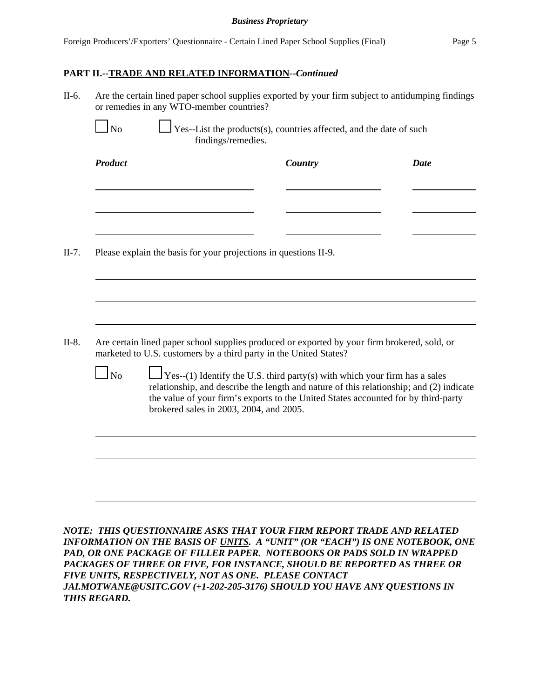#### *Business Proprietary*

## **PART II.--TRADE AND RELATED INFORMATION--***Continued*

|                                                                                                                                                                   |  | Country                                                                                                                                                                                                                                                                                                               | <b>Date</b> |  |  |
|-------------------------------------------------------------------------------------------------------------------------------------------------------------------|--|-----------------------------------------------------------------------------------------------------------------------------------------------------------------------------------------------------------------------------------------------------------------------------------------------------------------------|-------------|--|--|
|                                                                                                                                                                   |  |                                                                                                                                                                                                                                                                                                                       |             |  |  |
|                                                                                                                                                                   |  | Please explain the basis for your projections in questions II-9.                                                                                                                                                                                                                                                      |             |  |  |
|                                                                                                                                                                   |  |                                                                                                                                                                                                                                                                                                                       |             |  |  |
|                                                                                                                                                                   |  |                                                                                                                                                                                                                                                                                                                       |             |  |  |
| Are certain lined paper school supplies produced or exported by your firm brokered, sold, or<br>marketed to U.S. customers by a third party in the United States? |  |                                                                                                                                                                                                                                                                                                                       |             |  |  |
| $\mathbf{\mathbf{I}}$ No                                                                                                                                          |  | $\sqrt{\text{Yes}-(1)}$ Identify the U.S. third party(s) with which your firm has a sales<br>relationship, and describe the length and nature of this relationship; and (2) indicate<br>the value of your firm's exports to the United States accounted for by third-party<br>brokered sales in 2003, 2004, and 2005. |             |  |  |
|                                                                                                                                                                   |  |                                                                                                                                                                                                                                                                                                                       |             |  |  |
|                                                                                                                                                                   |  |                                                                                                                                                                                                                                                                                                                       |             |  |  |
|                                                                                                                                                                   |  |                                                                                                                                                                                                                                                                                                                       |             |  |  |

*FIVE UNITS, RESPECTIVELY, NOT AS ONE. PLEASE CONTACT JAI.MOTWANE@USITC.GOV (+1-202-205-3176) SHOULD YOU HAVE ANY QUESTIONS IN THIS REGARD.*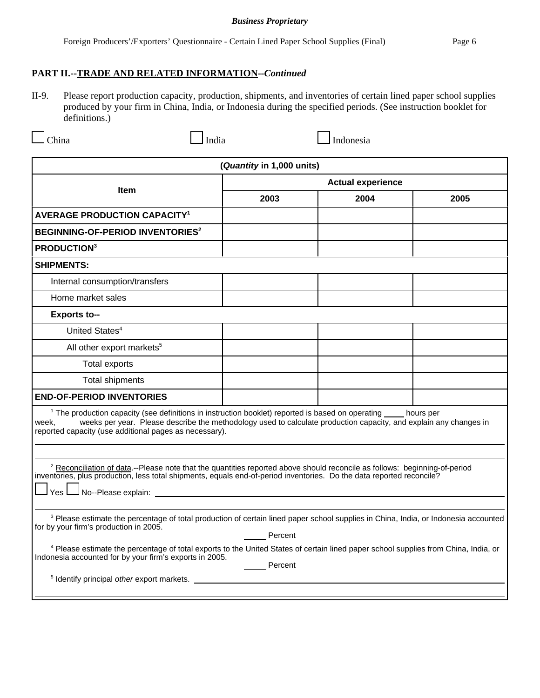#### *Business Proprietary*

II-9. Please report production capacity, production, shipments, and inventories of certain lined paper school supplies produced by your firm in China, India, or Indonesia during the specified periods. (See instruction booklet for definitions.)

 $\Box$ China  $\Box$ India  $\Box$ Indonesia

| (Quantity in 1,000 units)                                                                                                                                                                                                                                                                                        |                          |      |      |  |
|------------------------------------------------------------------------------------------------------------------------------------------------------------------------------------------------------------------------------------------------------------------------------------------------------------------|--------------------------|------|------|--|
|                                                                                                                                                                                                                                                                                                                  | <b>Actual experience</b> |      |      |  |
| <b>Item</b>                                                                                                                                                                                                                                                                                                      | 2003                     | 2004 | 2005 |  |
| <b>AVERAGE PRODUCTION CAPACITY<sup>1</sup></b>                                                                                                                                                                                                                                                                   |                          |      |      |  |
| BEGINNING-OF-PERIOD INVENTORIES <sup>2</sup>                                                                                                                                                                                                                                                                     |                          |      |      |  |
| <b>PRODUCTION3</b>                                                                                                                                                                                                                                                                                               |                          |      |      |  |
| <b>SHIPMENTS:</b>                                                                                                                                                                                                                                                                                                |                          |      |      |  |
| Internal consumption/transfers                                                                                                                                                                                                                                                                                   |                          |      |      |  |
| Home market sales                                                                                                                                                                                                                                                                                                |                          |      |      |  |
| <b>Exports to--</b>                                                                                                                                                                                                                                                                                              |                          |      |      |  |
| United States <sup>4</sup>                                                                                                                                                                                                                                                                                       |                          |      |      |  |
| All other export markets <sup>5</sup>                                                                                                                                                                                                                                                                            |                          |      |      |  |
| <b>Total exports</b>                                                                                                                                                                                                                                                                                             |                          |      |      |  |
| <b>Total shipments</b>                                                                                                                                                                                                                                                                                           |                          |      |      |  |
| <b>END-OF-PERIOD INVENTORIES</b>                                                                                                                                                                                                                                                                                 |                          |      |      |  |
| <sup>1</sup> The production capacity (see definitions in instruction booklet) reported is based on operating hours per<br>week, ____ weeks per year. Please describe the methodology used to calculate production capacity, and explain any changes in<br>reported capacity (use additional pages as necessary). |                          |      |      |  |
|                                                                                                                                                                                                                                                                                                                  |                          |      |      |  |
| <sup>2</sup> Reconciliation of data.--Please note that the quantities reported above should reconcile as follows: beginning-of-period inventories, plus production, less total shipments, equals end-of-period inventories. Do the data                                                                          |                          |      |      |  |
|                                                                                                                                                                                                                                                                                                                  |                          |      |      |  |
| <sup>3</sup> Please estimate the percentage of total production of certain lined paper school supplies in China, India, or Indonesia accounted<br>for by your firm's production in 2005.<br>Percent                                                                                                              |                          |      |      |  |
| <sup>4</sup> Please estimate the percentage of total exports to the United States of certain lined paper school supplies from China, India, or<br>Indonesia accounted for by your firm's exports in 2005.                                                                                                        | ______ Percent           |      |      |  |
| <sup>5</sup> Identify principal other export markets.                                                                                                                                                                                                                                                            |                          |      |      |  |
|                                                                                                                                                                                                                                                                                                                  |                          |      |      |  |